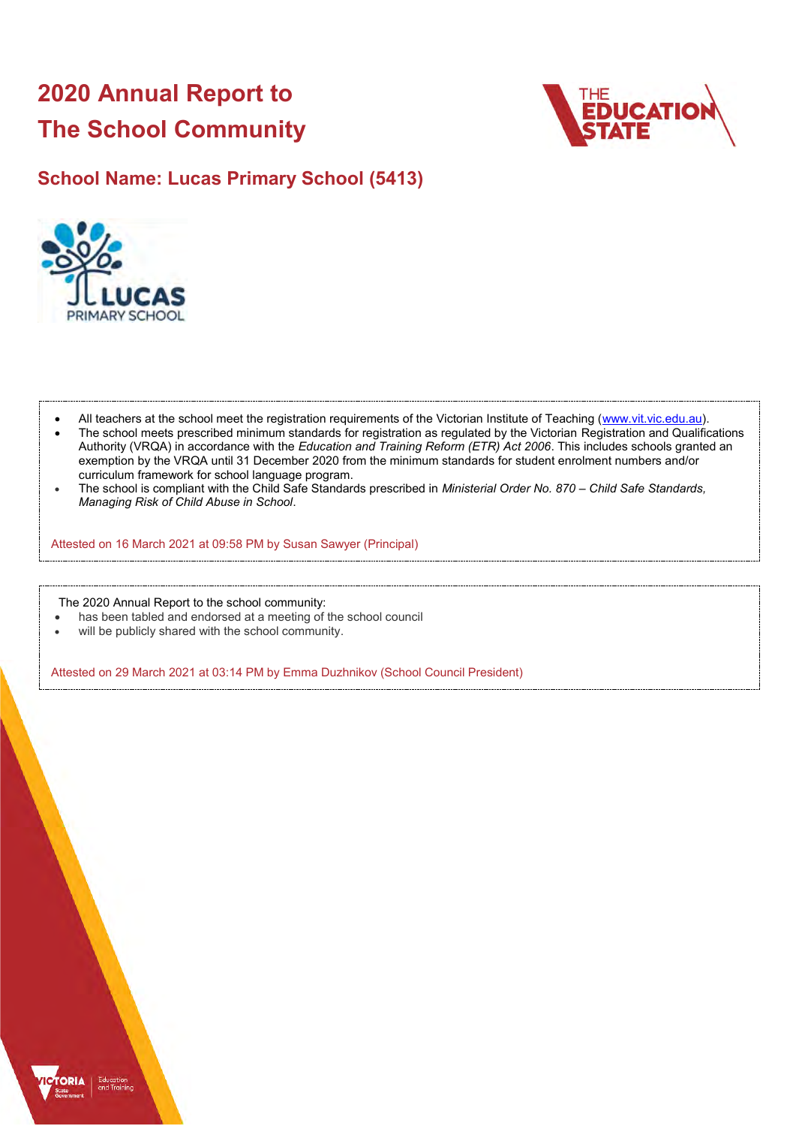# **2020 Annual Report to The School Community**



# **School Name: Lucas Primary School (5413)**



- All teachers at the school meet the registration requirements of the Victorian Institute of Teaching [\(www.vit.vic.edu.au\)](https://www.vit.vic.edu.au/).
- The school meets prescribed minimum standards for registration as regulated by the Victorian Registration and Qualifications Authority (VRQA) in accordance with the *Education and Training Reform (ETR) Act 2006*. This includes schools granted an exemption by the VRQA until 31 December 2020 from the minimum standards for student enrolment numbers and/or curriculum framework for school language program.
- The school is compliant with the Child Safe Standards prescribed in *Ministerial Order No. 870 – Child Safe Standards, Managing Risk of Child Abuse in School*.

Attested on 16 March 2021 at 09:58 PM by Susan Sawyer (Principal)

The 2020 Annual Report to the school community:

- has been tabled and endorsed at a meeting of the school council
- will be publicly shared with the school community.

Attested on 29 March 2021 at 03:14 PM by Emma Duzhnikov (School Council President)

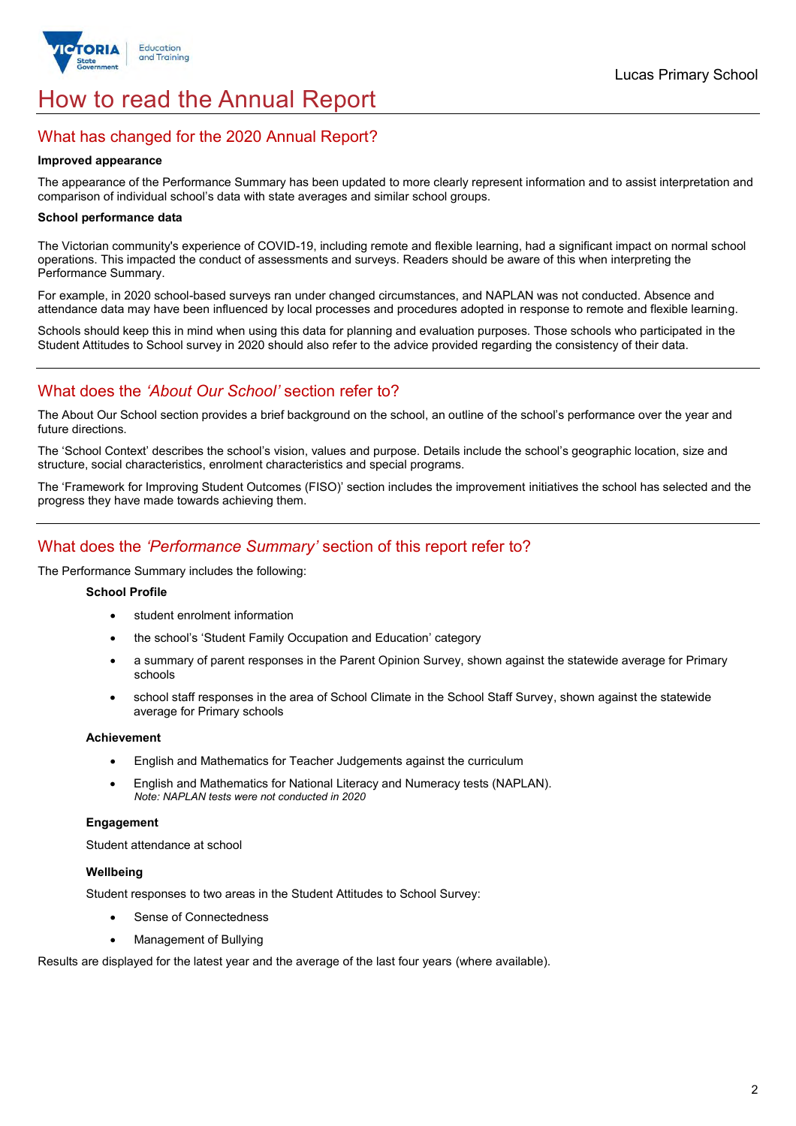

# How to read the Annual Report

# What has changed for the 2020 Annual Report?

#### **Improved appearance**

The appearance of the Performance Summary has been updated to more clearly represent information and to assist interpretation and comparison of individual school's data with state averages and similar school groups.

#### **School performance data**

The Victorian community's experience of COVID-19, including remote and flexible learning, had a significant impact on normal school operations. This impacted the conduct of assessments and surveys. Readers should be aware of this when interpreting the Performance Summary.

For example, in 2020 school-based surveys ran under changed circumstances, and NAPLAN was not conducted. Absence and attendance data may have been influenced by local processes and procedures adopted in response to remote and flexible learning.

Schools should keep this in mind when using this data for planning and evaluation purposes. Those schools who participated in the Student Attitudes to School survey in 2020 should also refer to the advice provided regarding the consistency of their data.

# What does the *'About Our School'* section refer to?

The About Our School section provides a brief background on the school, an outline of the school's performance over the year and future directions.

The 'School Context' describes the school's vision, values and purpose. Details include the school's geographic location, size and structure, social characteristics, enrolment characteristics and special programs.

The 'Framework for Improving Student Outcomes (FISO)' section includes the improvement initiatives the school has selected and the progress they have made towards achieving them.

# What does the *'Performance Summary'* section of this report refer to?

The Performance Summary includes the following:

### **School Profile**

- student enrolment information
- the school's 'Student Family Occupation and Education' category
- a summary of parent responses in the Parent Opinion Survey, shown against the statewide average for Primary schools
- school staff responses in the area of School Climate in the School Staff Survey, shown against the statewide average for Primary schools

#### **Achievement**

- English and Mathematics for Teacher Judgements against the curriculum
- English and Mathematics for National Literacy and Numeracy tests (NAPLAN). *Note: NAPLAN tests were not conducted in 2020*

## **Engagement**

Student attendance at school

## **Wellbeing**

Student responses to two areas in the Student Attitudes to School Survey:

- Sense of Connectedness
- Management of Bullying

Results are displayed for the latest year and the average of the last four years (where available).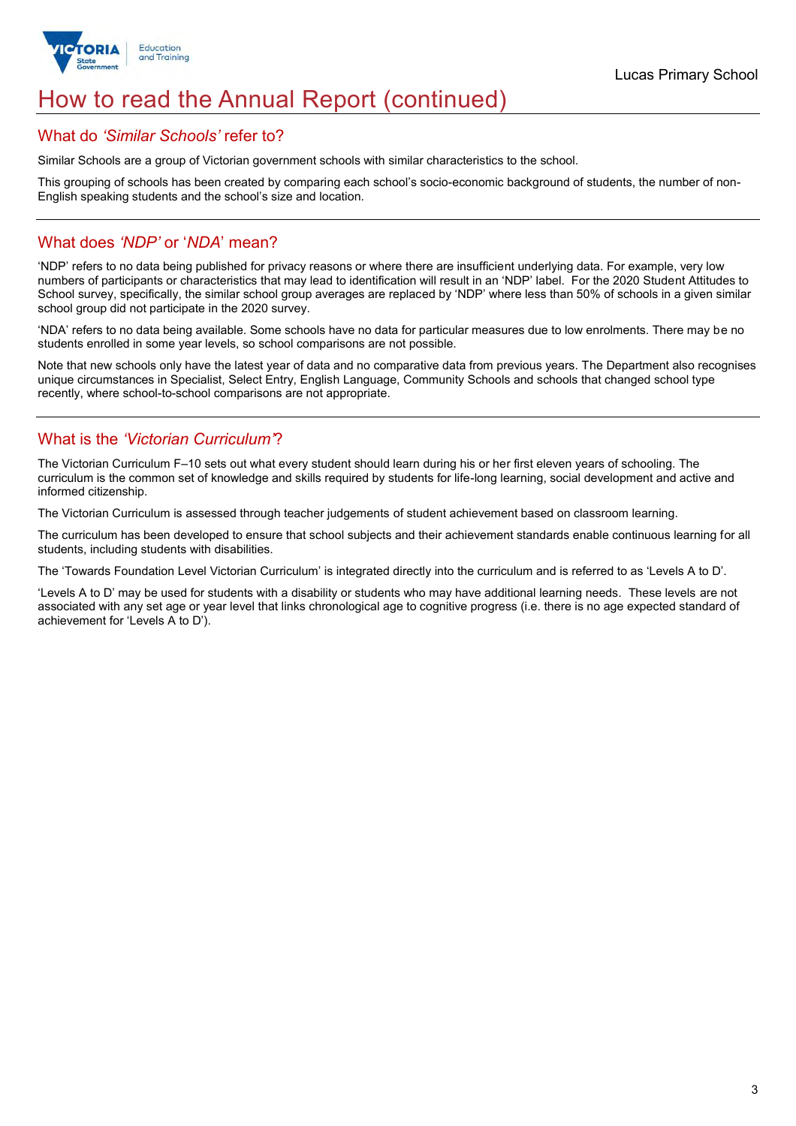

# How to read the Annual Report (continued)

## What do *'Similar Schools'* refer to?

Similar Schools are a group of Victorian government schools with similar characteristics to the school.

This grouping of schools has been created by comparing each school's socio-economic background of students, the number of non-English speaking students and the school's size and location.

# What does *'NDP'* or '*NDA*' mean?

'NDP' refers to no data being published for privacy reasons or where there are insufficient underlying data. For example, very low numbers of participants or characteristics that may lead to identification will result in an 'NDP' label. For the 2020 Student Attitudes to School survey, specifically, the similar school group averages are replaced by 'NDP' where less than 50% of schools in a given similar school group did not participate in the 2020 survey.

'NDA' refers to no data being available. Some schools have no data for particular measures due to low enrolments. There may be no students enrolled in some year levels, so school comparisons are not possible.

Note that new schools only have the latest year of data and no comparative data from previous years. The Department also recognises unique circumstances in Specialist, Select Entry, English Language, Community Schools and schools that changed school type recently, where school-to-school comparisons are not appropriate.

# What is the *'Victorian Curriculum'*?

The Victorian Curriculum F–10 sets out what every student should learn during his or her first eleven years of schooling. The curriculum is the common set of knowledge and skills required by students for life-long learning, social development and active and informed citizenship.

The Victorian Curriculum is assessed through teacher judgements of student achievement based on classroom learning.

The curriculum has been developed to ensure that school subjects and their achievement standards enable continuous learning for all students, including students with disabilities.

The 'Towards Foundation Level Victorian Curriculum' is integrated directly into the curriculum and is referred to as 'Levels A to D'.

'Levels A to D' may be used for students with a disability or students who may have additional learning needs. These levels are not associated with any set age or year level that links chronological age to cognitive progress (i.e. there is no age expected standard of achievement for 'Levels A to D').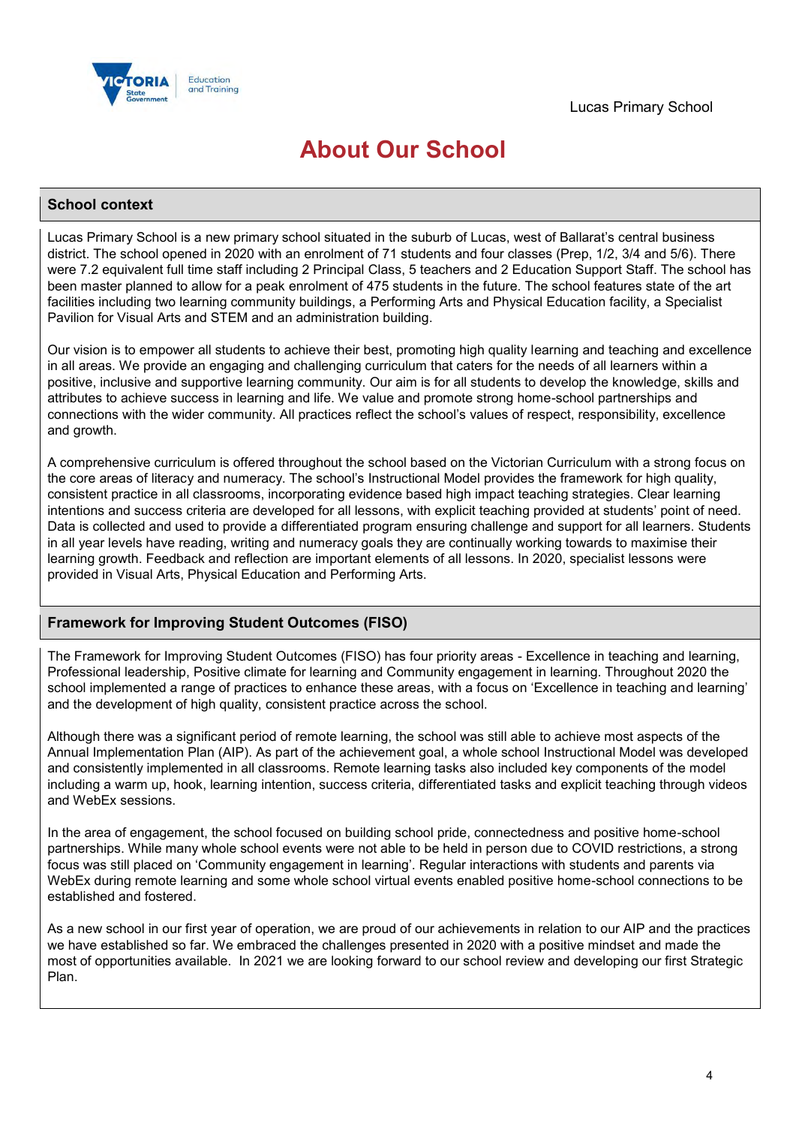

# **About Our School**

## **School context**

Lucas Primary School is a new primary school situated in the suburb of Lucas, west of Ballarat's central business district. The school opened in 2020 with an enrolment of 71 students and four classes (Prep, 1/2, 3/4 and 5/6). There were 7.2 equivalent full time staff including 2 Principal Class, 5 teachers and 2 Education Support Staff. The school has been master planned to allow for a peak enrolment of 475 students in the future. The school features state of the art facilities including two learning community buildings, a Performing Arts and Physical Education facility, a Specialist Pavilion for Visual Arts and STEM and an administration building.

Our vision is to empower all students to achieve their best, promoting high quality learning and teaching and excellence in all areas. We provide an engaging and challenging curriculum that caters for the needs of all learners within a positive, inclusive and supportive learning community. Our aim is for all students to develop the knowledge, skills and attributes to achieve success in learning and life. We value and promote strong home-school partnerships and connections with the wider community. All practices reflect the school's values of respect, responsibility, excellence and growth.

A comprehensive curriculum is offered throughout the school based on the Victorian Curriculum with a strong focus on the core areas of literacy and numeracy. The school's Instructional Model provides the framework for high quality, consistent practice in all classrooms, incorporating evidence based high impact teaching strategies. Clear learning intentions and success criteria are developed for all lessons, with explicit teaching provided at students' point of need. Data is collected and used to provide a differentiated program ensuring challenge and support for all learners. Students in all year levels have reading, writing and numeracy goals they are continually working towards to maximise their learning growth. Feedback and reflection are important elements of all lessons. In 2020, specialist lessons were provided in Visual Arts, Physical Education and Performing Arts.

## **Framework for Improving Student Outcomes (FISO)**

The Framework for Improving Student Outcomes (FISO) has four priority areas - Excellence in teaching and learning, Professional leadership, Positive climate for learning and Community engagement in learning. Throughout 2020 the school implemented a range of practices to enhance these areas, with a focus on 'Excellence in teaching and learning' and the development of high quality, consistent practice across the school.

Although there was a significant period of remote learning, the school was still able to achieve most aspects of the Annual Implementation Plan (AIP). As part of the achievement goal, a whole school Instructional Model was developed and consistently implemented in all classrooms. Remote learning tasks also included key components of the model including a warm up, hook, learning intention, success criteria, differentiated tasks and explicit teaching through videos and WebEx sessions.

In the area of engagement, the school focused on building school pride, connectedness and positive home-school partnerships. While many whole school events were not able to be held in person due to COVID restrictions, a strong focus was still placed on 'Community engagement in learning'. Regular interactions with students and parents via WebEx during remote learning and some whole school virtual events enabled positive home-school connections to be established and fostered.

As a new school in our first year of operation, we are proud of our achievements in relation to our AIP and the practices we have established so far. We embraced the challenges presented in 2020 with a positive mindset and made the most of opportunities available. In 2021 we are looking forward to our school review and developing our first Strategic Plan.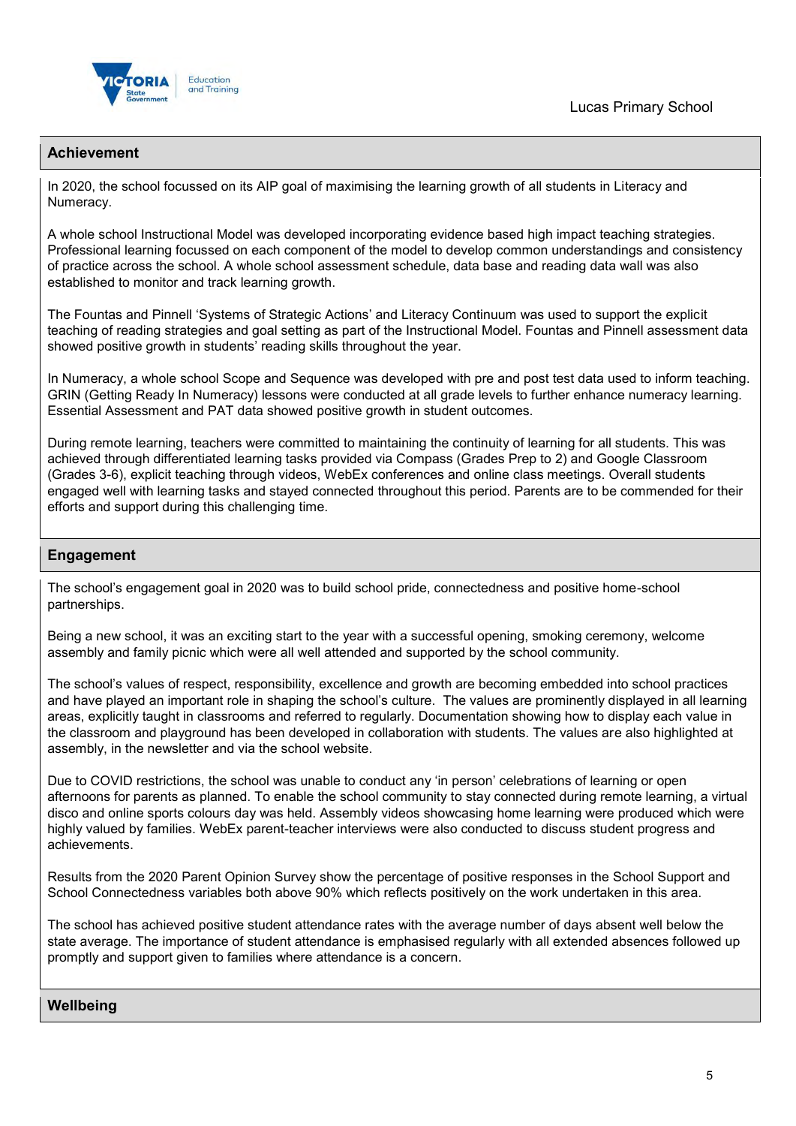



## **Achievement**

In 2020, the school focussed on its AIP goal of maximising the learning growth of all students in Literacy and Numeracy.

A whole school Instructional Model was developed incorporating evidence based high impact teaching strategies. Professional learning focussed on each component of the model to develop common understandings and consistency of practice across the school. A whole school assessment schedule, data base and reading data wall was also established to monitor and track learning growth.

The Fountas and Pinnell 'Systems of Strategic Actions' and Literacy Continuum was used to support the explicit teaching of reading strategies and goal setting as part of the Instructional Model. Fountas and Pinnell assessment data showed positive growth in students' reading skills throughout the year.

In Numeracy, a whole school Scope and Sequence was developed with pre and post test data used to inform teaching. GRIN (Getting Ready In Numeracy) lessons were conducted at all grade levels to further enhance numeracy learning. Essential Assessment and PAT data showed positive growth in student outcomes.

During remote learning, teachers were committed to maintaining the continuity of learning for all students. This was achieved through differentiated learning tasks provided via Compass (Grades Prep to 2) and Google Classroom (Grades 3-6), explicit teaching through videos, WebEx conferences and online class meetings. Overall students engaged well with learning tasks and stayed connected throughout this period. Parents are to be commended for their efforts and support during this challenging time.

## **Engagement**

The school's engagement goal in 2020 was to build school pride, connectedness and positive home-school partnerships.

Being a new school, it was an exciting start to the year with a successful opening, smoking ceremony, welcome assembly and family picnic which were all well attended and supported by the school community.

The school's values of respect, responsibility, excellence and growth are becoming embedded into school practices and have played an important role in shaping the school's culture. The values are prominently displayed in all learning areas, explicitly taught in classrooms and referred to regularly. Documentation showing how to display each value in the classroom and playground has been developed in collaboration with students. The values are also highlighted at assembly, in the newsletter and via the school website.

Due to COVID restrictions, the school was unable to conduct any 'in person' celebrations of learning or open afternoons for parents as planned. To enable the school community to stay connected during remote learning, a virtual disco and online sports colours day was held. Assembly videos showcasing home learning were produced which were highly valued by families. WebEx parent-teacher interviews were also conducted to discuss student progress and achievements.

Results from the 2020 Parent Opinion Survey show the percentage of positive responses in the School Support and School Connectedness variables both above 90% which reflects positively on the work undertaken in this area.

The school has achieved positive student attendance rates with the average number of days absent well below the state average. The importance of student attendance is emphasised regularly with all extended absences followed up promptly and support given to families where attendance is a concern.

## **Wellbeing**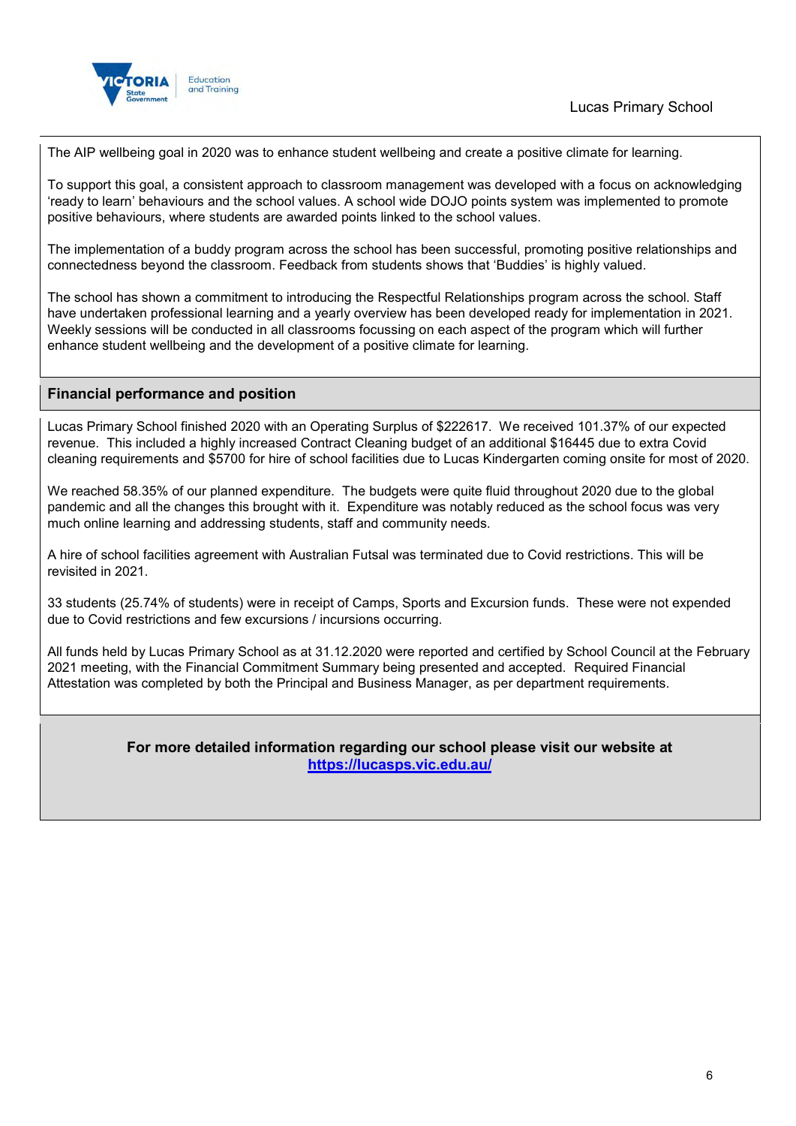

The AIP wellbeing goal in 2020 was to enhance student wellbeing and create a positive climate for learning.

To support this goal, a consistent approach to classroom management was developed with a focus on acknowledging 'ready to learn' behaviours and the school values. A school wide DOJO points system was implemented to promote positive behaviours, where students are awarded points linked to the school values.

The implementation of a buddy program across the school has been successful, promoting positive relationships and connectedness beyond the classroom. Feedback from students shows that 'Buddies' is highly valued.

The school has shown a commitment to introducing the Respectful Relationships program across the school. Staff have undertaken professional learning and a yearly overview has been developed ready for implementation in 2021. Weekly sessions will be conducted in all classrooms focussing on each aspect of the program which will further enhance student wellbeing and the development of a positive climate for learning.

## **Financial performance and position**

Lucas Primary School finished 2020 with an Operating Surplus of \$222617. We received 101.37% of our expected revenue. This included a highly increased Contract Cleaning budget of an additional \$16445 due to extra Covid cleaning requirements and \$5700 for hire of school facilities due to Lucas Kindergarten coming onsite for most of 2020.

We reached 58.35% of our planned expenditure. The budgets were quite fluid throughout 2020 due to the global pandemic and all the changes this brought with it. Expenditure was notably reduced as the school focus was very much online learning and addressing students, staff and community needs.

A hire of school facilities agreement with Australian Futsal was terminated due to Covid restrictions. This will be revisited in 2021.

33 students (25.74% of students) were in receipt of Camps, Sports and Excursion funds. These were not expended due to Covid restrictions and few excursions / incursions occurring.

All funds held by Lucas Primary School as at 31.12.2020 were reported and certified by School Council at the February 2021 meeting, with the Financial Commitment Summary being presented and accepted. Required Financial Attestation was completed by both the Principal and Business Manager, as per department requirements.

> **For more detailed information regarding our school please visit our website at <https://lucasps.vic.edu.au/>**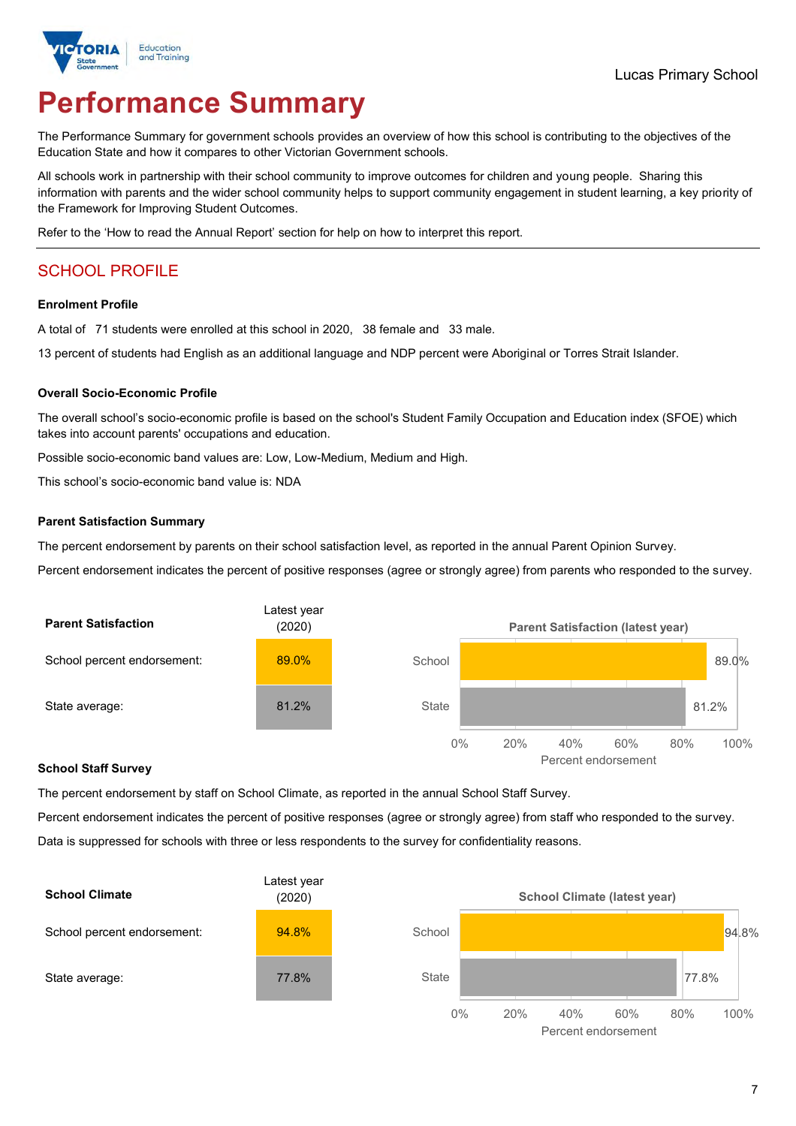

# **Performance Summary**

The Performance Summary for government schools provides an overview of how this school is contributing to the objectives of the Education State and how it compares to other Victorian Government schools.

All schools work in partnership with their school community to improve outcomes for children and young people. Sharing this information with parents and the wider school community helps to support community engagement in student learning, a key priority of the Framework for Improving Student Outcomes.

Refer to the 'How to read the Annual Report' section for help on how to interpret this report.

# SCHOOL PROFILE

#### **Enrolment Profile**

A total of 71 students were enrolled at this school in 2020, 38 female and 33 male.

13 percent of students had English as an additional language and NDP percent were Aboriginal or Torres Strait Islander.

#### **Overall Socio-Economic Profile**

The overall school's socio-economic profile is based on the school's Student Family Occupation and Education index (SFOE) which takes into account parents' occupations and education.

Possible socio-economic band values are: Low, Low-Medium, Medium and High.

This school's socio-economic band value is: NDA

#### **Parent Satisfaction Summary**

The percent endorsement by parents on their school satisfaction level, as reported in the annual Parent Opinion Survey.

Percent endorsement indicates the percent of positive responses (agree or strongly agree) from parents who responded to the survey.



#### **School Staff Survey**

The percent endorsement by staff on School Climate, as reported in the annual School Staff Survey.

Percent endorsement indicates the percent of positive responses (agree or strongly agree) from staff who responded to the survey. Data is suppressed for schools with three or less respondents to the survey for confidentiality reasons.



Percent endorsement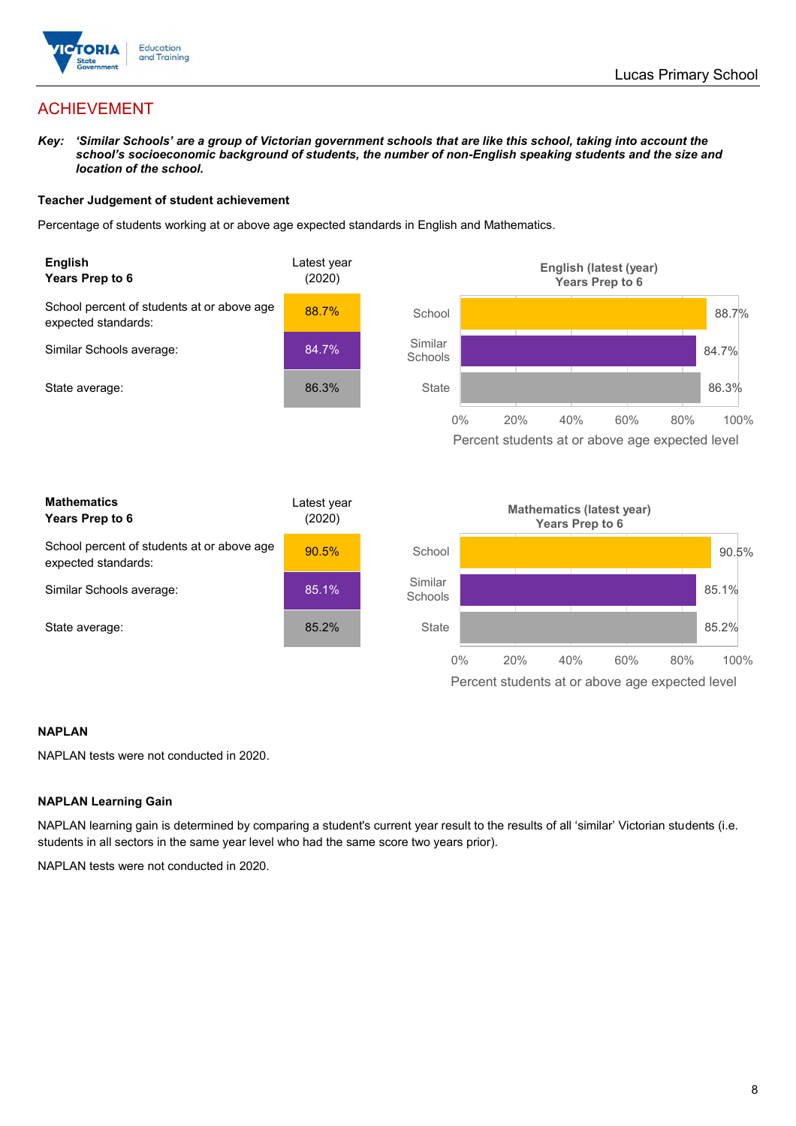

# ACHIEVEMENT

*Key: 'Similar Schools' are a group of Victorian government schools that are like this school, taking into account the school's socioeconomic background of students, the number of non-English speaking students and the size and location of the school.*

### **Teacher Judgement of student achievement**

Percentage of students working at or above age expected standards in English and Mathematics.



### **NAPLAN**

NAPLAN tests were not conducted in 2020.

### **NAPLAN Learning Gain**

NAPLAN learning gain is determined by comparing a student's current year result to the results of all 'similar' Victorian students (i.e. students in all sectors in the same year level who had the same score two years prior).

NAPLAN tests were not conducted in 2020.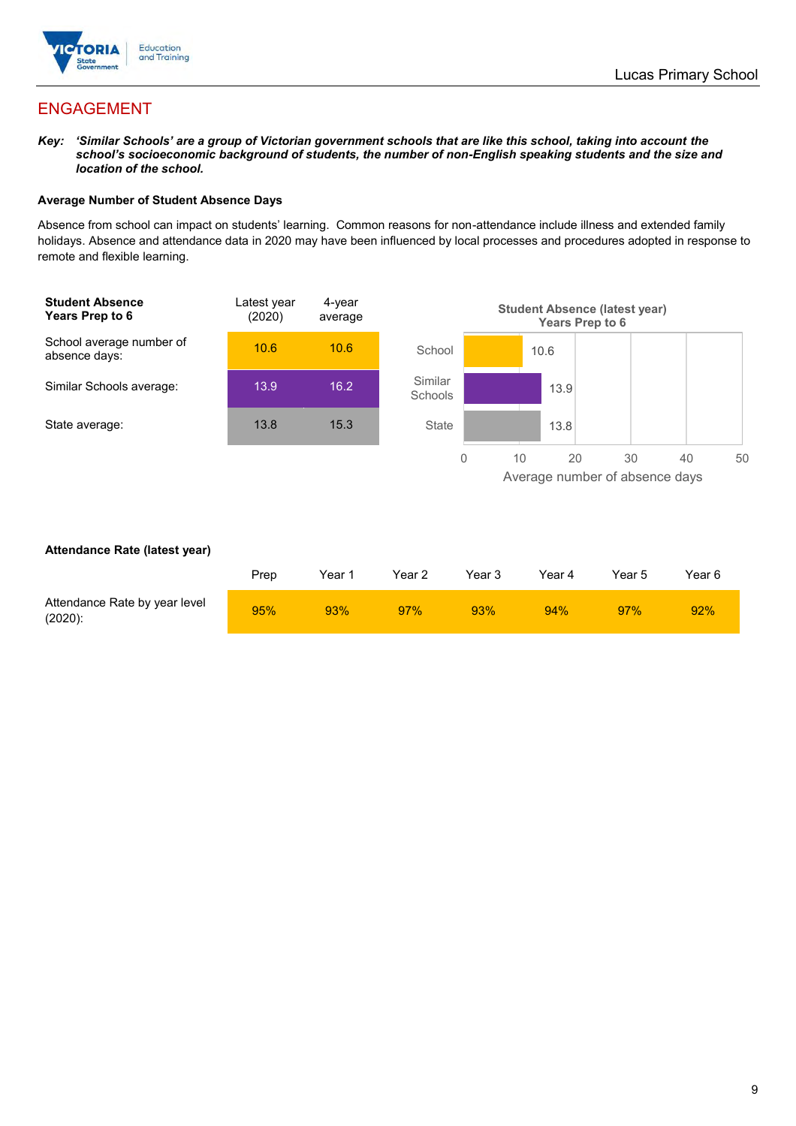

# ENGAGEMENT

*Key: 'Similar Schools' are a group of Victorian government schools that are like this school, taking into account the school's socioeconomic background of students, the number of non-English speaking students and the size and location of the school.*

## **Average Number of Student Absence Days**

Absence from school can impact on students' learning. Common reasons for non-attendance include illness and extended family holidays. Absence and attendance data in 2020 may have been influenced by local processes and procedures adopted in response to remote and flexible learning.



### **Attendance Rate (latest year)**

|                                             | Prep | Year 1 | Year 2 | Year 3 | Year 4 | Year 5 | Year 6 |
|---------------------------------------------|------|--------|--------|--------|--------|--------|--------|
| Attendance Rate by year level<br>$(2020)$ : | 95%  | 93%    | 97%    | 93%    | 94%    | 97%    | 92%    |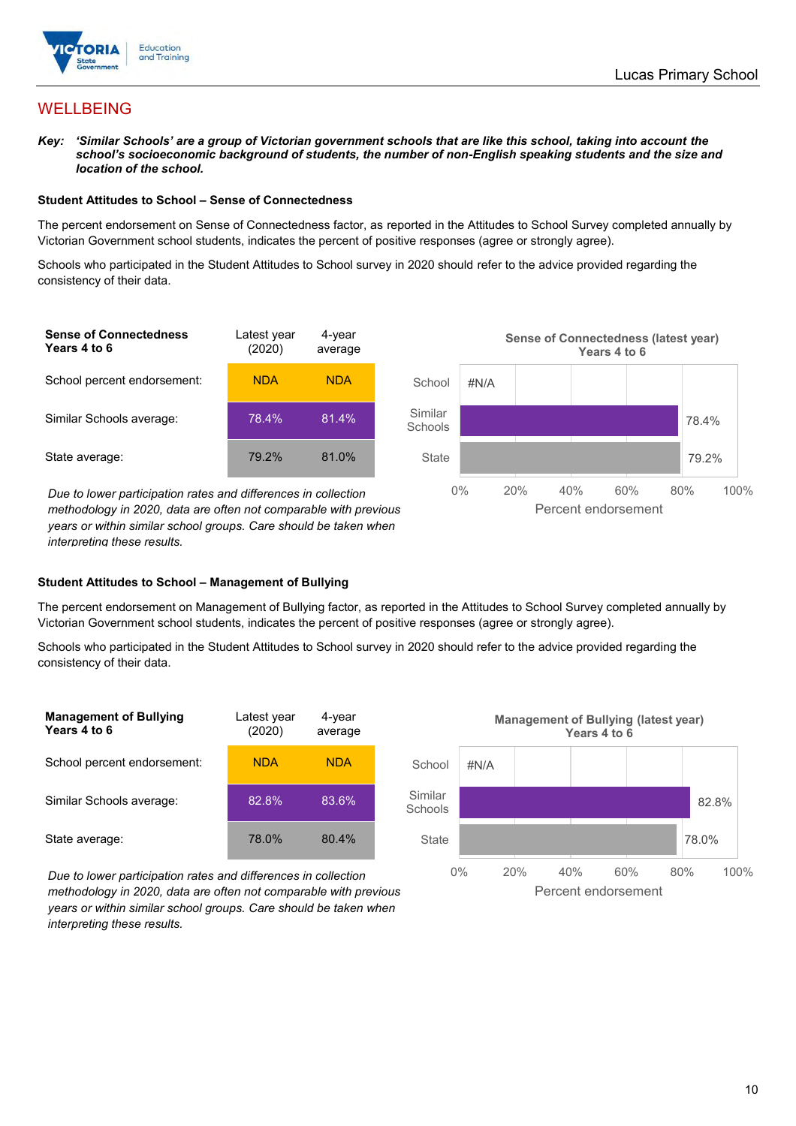

# WELLBEING

*Key: 'Similar Schools' are a group of Victorian government schools that are like this school, taking into account the school's socioeconomic background of students, the number of non-English speaking students and the size and location of the school.*

#### **Student Attitudes to School – Sense of Connectedness**

The percent endorsement on Sense of Connectedness factor, as reported in the Attitudes to School Survey completed annually by Victorian Government school students, indicates the percent of positive responses (agree or strongly agree).

Schools who participated in the Student Attitudes to School survey in 2020 should refer to the advice provided regarding the consistency of their data.



*methodology in 2020, data are often not comparable with previous years or within similar school groups. Care should be taken when interpreting these results.*

#### **Student Attitudes to School – Management of Bullying**

The percent endorsement on Management of Bullying factor, as reported in the Attitudes to School Survey completed annually by Victorian Government school students, indicates the percent of positive responses (agree or strongly agree).

Schools who participated in the Student Attitudes to School survey in 2020 should refer to the advice provided regarding the consistency of their data.

| <b>Management of Bullying</b><br>Years 4 to 6 | Latest year<br>(2020) | 4-year<br>average |
|-----------------------------------------------|-----------------------|-------------------|
| School percent endorsement:                   | <b>NDA</b>            | NDA               |
| Similar Schools average:                      | 82.8%                 | 83.6%             |
| State average:                                | 78.0%                 | 80.4%             |

*Due to lower participation rates and differences in collection methodology in 2020, data are often not comparable with previous years or within similar school groups. Care should be taken when interpreting these results.*

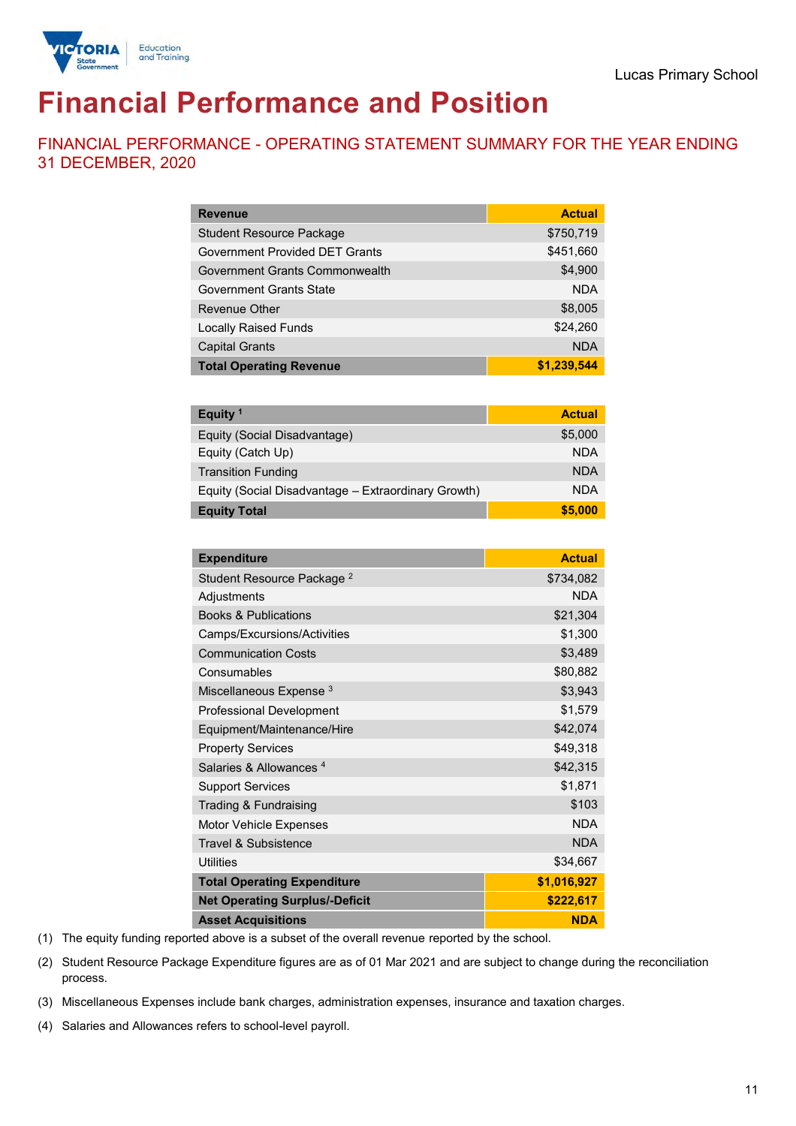

# **Financial Performance and Position**

FINANCIAL PERFORMANCE - OPERATING STATEMENT SUMMARY FOR THE YEAR ENDING 31 DECEMBER, 2020

| <b>Revenue</b>                  | <b>Actual</b> |
|---------------------------------|---------------|
| <b>Student Resource Package</b> | \$750,719     |
| Government Provided DET Grants  | \$451,660     |
| Government Grants Commonwealth  | \$4,900       |
| <b>Government Grants State</b>  | <b>NDA</b>    |
| <b>Revenue Other</b>            | \$8,005       |
| <b>Locally Raised Funds</b>     | \$24,260      |
| <b>Capital Grants</b>           | <b>NDA</b>    |
| <b>Total Operating Revenue</b>  | \$1,239,544   |

| Equity <sup>1</sup>                                 | <b>Actual</b> |
|-----------------------------------------------------|---------------|
| Equity (Social Disadvantage)                        | \$5,000       |
| Equity (Catch Up)                                   | <b>NDA</b>    |
| <b>Transition Funding</b>                           | <b>NDA</b>    |
| Equity (Social Disadvantage - Extraordinary Growth) | <b>NDA</b>    |
| <b>Equity Total</b>                                 | \$5,000       |

| <b>Expenditure</b>                    | <b>Actual</b> |
|---------------------------------------|---------------|
| Student Resource Package <sup>2</sup> | \$734,082     |
| Adjustments                           | <b>NDA</b>    |
| <b>Books &amp; Publications</b>       | \$21,304      |
| Camps/Excursions/Activities           | \$1,300       |
| <b>Communication Costs</b>            | \$3,489       |
| Consumables                           | \$80,882      |
| Miscellaneous Expense <sup>3</sup>    | \$3,943       |
| <b>Professional Development</b>       | \$1,579       |
| Equipment/Maintenance/Hire            | \$42,074      |
| <b>Property Services</b>              | \$49,318      |
| Salaries & Allowances <sup>4</sup>    | \$42,315      |
| <b>Support Services</b>               | \$1,871       |
| Trading & Fundraising                 | \$103         |
| <b>Motor Vehicle Expenses</b>         | <b>NDA</b>    |
| Travel & Subsistence                  | <b>NDA</b>    |
| <b>Utilities</b>                      | \$34,667      |
| <b>Total Operating Expenditure</b>    | \$1,016,927   |
| <b>Net Operating Surplus/-Deficit</b> | \$222,617     |
| <b>Asset Acquisitions</b>             | <b>NDA</b>    |

(1) The equity funding reported above is a subset of the overall revenue reported by the school.

(2) Student Resource Package Expenditure figures are as of 01 Mar 2021 and are subject to change during the reconciliation process.

(3) Miscellaneous Expenses include bank charges, administration expenses, insurance and taxation charges.

(4) Salaries and Allowances refers to school-level payroll.